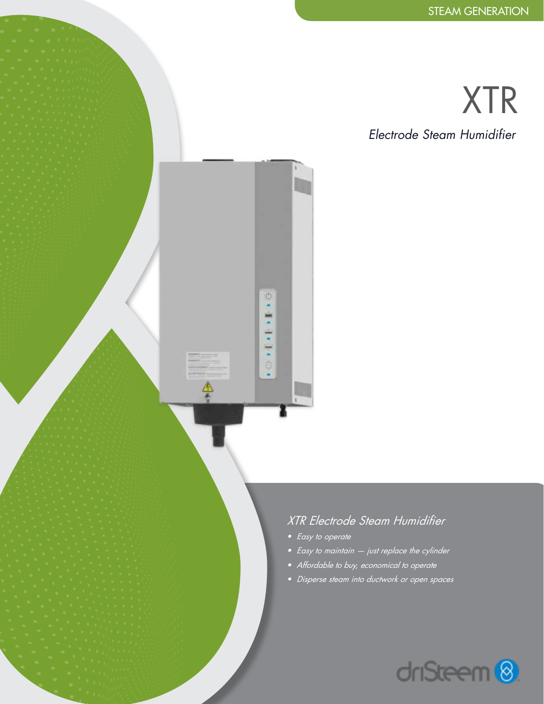# XTR

*Electrode Steam Humidifier*

### *XTR Electrode Steam Humidifier*

*• Easy to operate*

 $\circ$  $\epsilon$  .

101101

全

- *• Easy to maintain just replace the cylinder*
- *• Affordable to buy, economical to operate*
- *• Disperse steam into ductwork or open spaces*

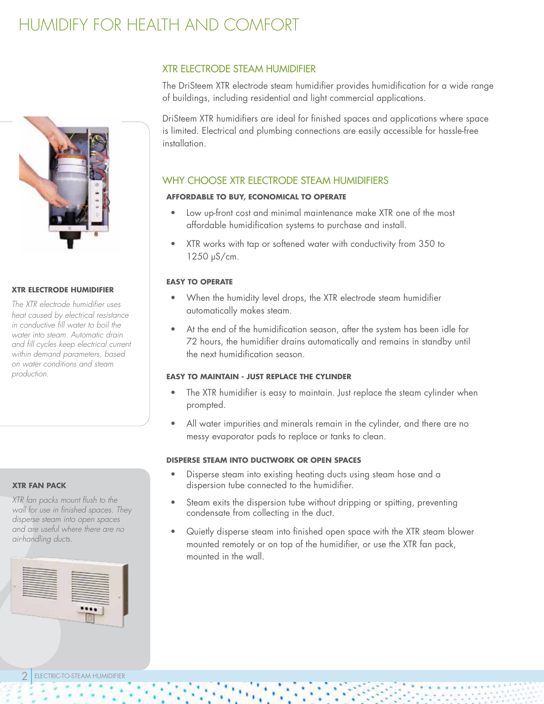### HUMIDIFY FOR HEALTH AND COMFORT



#### **XTR ELECTRODE HUMIDIFIER**

*The XTR electrode humidifier uses heat caused by electrical resistance in conductive fill water to boil the water into steam. Automatic drain and fill cycles keep electrical current within demand parameters, based on water conditions and steam production.* 

#### **XTR FAN PACK**

*XTR fan packs mount flush to the wall for use in finished spaces. They disperse steam into open spaces and are useful where there are no air-handling ducts.*

#### XTR ELECTRODE STEAM HUMIDIFIER

The DriSteem XTR electrode steam humidifier provides humidification for a wide range of buildings, including residential and light commercial applications.

DriSteem XTR humidifiers are ideal for finished spaces and applications where space is limited. Electrical and plumbing connections are easily accessible for hassle-free installation.

### WHY CHOOSE XTR ELECTRODE STEAM HUMIDIFIERS

#### **AFFORDABLE TO BUY, ECONOMICAL TO OPERATE**

- Low up-front cost and minimal maintenance make XTR one of the most affordable humidification systems to purchase and install.
- XTR works with tap or softened water with conductivity from 350 to 1250 μS/cm.

#### **EASY TO OPERATE**

- When the humidity level drops, the XTR electrode steam humidifier automatically makes steam.
- At the end of the humidification season, after the system has been idle for 72 hours, the humidifier drains automatically and remains in standby until the next humidification season.

#### **EASY TO MAINTAIN - JUST REPLACE THE CYLINDER**

- The XTR humidifier is easy to maintain. Just replace the steam cylinder when prompted.
- All water impurities and minerals remain in the cylinder, and there are no messy evaporator pads to replace or tanks to clean.

#### **DISPERSE STEAM INTO DUCTWORK OR OPEN SPACES**

- Disperse steam into existing heating ducts using steam hose and a dispersion tube connected to the humidifier.
- Steam exits the dispersion tube without dripping or spitting, preventing condensate from collecting in the duct.
- Quietly disperse steam into finished open space with the XTR steam blower mounted remotely or on top of the humidifier, or use the XTR fan pack, mounted in the wall.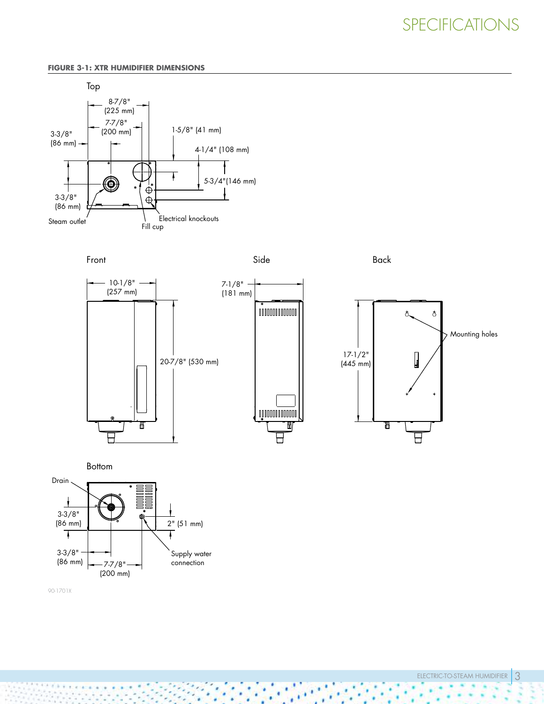### SPECIFICATIONS

#### **FIGURE 3-1: XTR HUMIDIFIER DIMENSIONS**









ELECTRIC-TO-STEAM HUMIDIFIER 3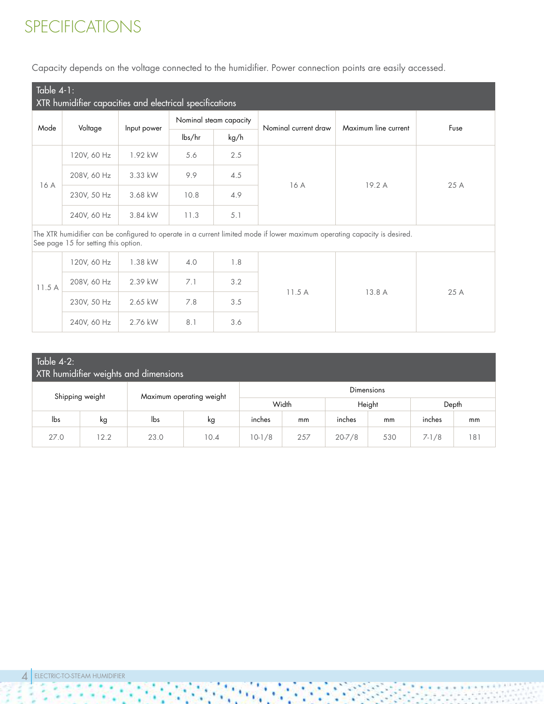### SPECIFICATIONS

Capacity depends on the voltage connected to the humidifier. Power connection points are easily accessed.

| Table $4-1$ :<br>XTR humidifier capacities and electrical specifications                                                                                          |             |             |        |                        |                      |                      |      |  |  |  |
|-------------------------------------------------------------------------------------------------------------------------------------------------------------------|-------------|-------------|--------|------------------------|----------------------|----------------------|------|--|--|--|
| Mode                                                                                                                                                              | Voltage     |             |        | Nominal steam capacity | Nominal current draw | Maximum line current | Fuse |  |  |  |
|                                                                                                                                                                   |             | Input power | lbs/hr | kg/h                   |                      |                      |      |  |  |  |
|                                                                                                                                                                   | 120V, 60 Hz | 1.92 kW     | 5.6    | 2.5                    |                      |                      | 25 A |  |  |  |
| 16 A                                                                                                                                                              | 208V, 60 Hz | 3.33 kW     | 9.9    | 4.5                    |                      |                      |      |  |  |  |
|                                                                                                                                                                   | 230V, 50 Hz | 3.68 kW     | 10.8   | 4.9                    | 16 A                 | 19.2 A               |      |  |  |  |
|                                                                                                                                                                   | 240V, 60 Hz | 3.84 kW     | 11.3   | 5.1                    |                      |                      |      |  |  |  |
| The XTR humidifier can be configured to operate in a current limited mode if lower maximum operating capacity is desired.<br>See page 15 for setting this option. |             |             |        |                        |                      |                      |      |  |  |  |
|                                                                                                                                                                   | 120V, 60 Hz | 1.38 kW     | 4.0    | 1.8                    |                      |                      |      |  |  |  |
| 11.5A                                                                                                                                                             | 208V, 60 Hz | 2.39 kW     | 7.1    | 3.2                    |                      |                      |      |  |  |  |
|                                                                                                                                                                   | 230V, 50 Hz | 2.65 kW     | 7.8    | 3.5                    | 11.5A                | 13.8 A               | 25 A |  |  |  |
|                                                                                                                                                                   | 240V, 60 Hz | 2.76 kW     | 8.1    | 3.6                    |                      |                      |      |  |  |  |

| Table $4-2$ :<br>XTR humidifier weights and dimensions    |      |      |       |              |        |            |       |         |     |  |
|-----------------------------------------------------------|------|------|-------|--------------|--------|------------|-------|---------|-----|--|
| Dimensions<br>Shipping weight<br>Maximum operating weight |      |      |       |              |        |            |       |         |     |  |
|                                                           |      |      | Width |              | Height |            | Depth |         |     |  |
| lbs                                                       | kg   | lbs  | kg    | inches<br>mm |        | inches     | mm    | inches  | mm  |  |
| 27.0                                                      | 12.2 | 23.0 | 10.4  | $10-1/8$     | 257    | $20 - 7/8$ | 530   | $7-1/8$ | 181 |  |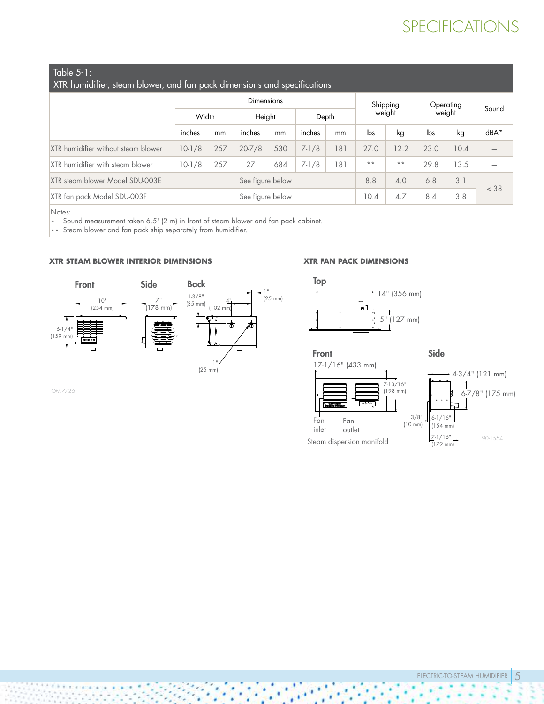### SPECIFICATIONS

| Table 5-1: |  |  |
|------------|--|--|
|            |  |  |

| XTR humidifier, steam blower, and fan pack dimensions and specifications |  |
|--------------------------------------------------------------------------|--|
|                                                                          |  |

|                                     | Dimensions |                  |            |        |           |       |                 | Shipping        |      |                     |                          |
|-------------------------------------|------------|------------------|------------|--------|-----------|-------|-----------------|-----------------|------|---------------------|--------------------------|
|                                     | Width      |                  |            | Height |           | Depth |                 | weight          |      | Operating<br>weight |                          |
|                                     | inches     | mm               | inches     | mm     | inches    | mm    | lbs             | kg              | lbs  | kg                  | dBA*                     |
| XTR humidifier without steam blower | $10-1/8$   | 257              | $20 - 7/8$ | 530    | $7 - 1/8$ | 181   | 27.0            | 12.2            | 23.0 | 10.4                | $\overline{\phantom{0}}$ |
| XTR humidifier with steam blower    | $10-1/8$   | 257              | 27         | 684    | $7 - 1/8$ | 181   | $\star$ $\star$ | $\star$ $\star$ | 29.8 | 13.5                | $\overline{\phantom{0}}$ |
| XTR steam blower Model SDU-003E     |            | See figure below |            |        |           |       |                 | 4.0             | 6.8  | 3.1                 | < 38                     |
| XTR fan pack Model SDU-003F         |            | See figure below |            |        |           |       |                 | 4.7             | 8.4  | 3.8                 |                          |
| Notes:                              |            |                  |            |        |           |       |                 |                 |      |                     |                          |

\* Sound measurement taken 6.5' (2 m) in front of steam blower and fan pack cabinet.

\*\* Steam blower and fan pack ship separately from humidifier.

#### **XTR STEAM BLOWER INTERIOR DIMENSIONS**



OM-7726

#### **XTR FAN PACK DIMENSIONS**



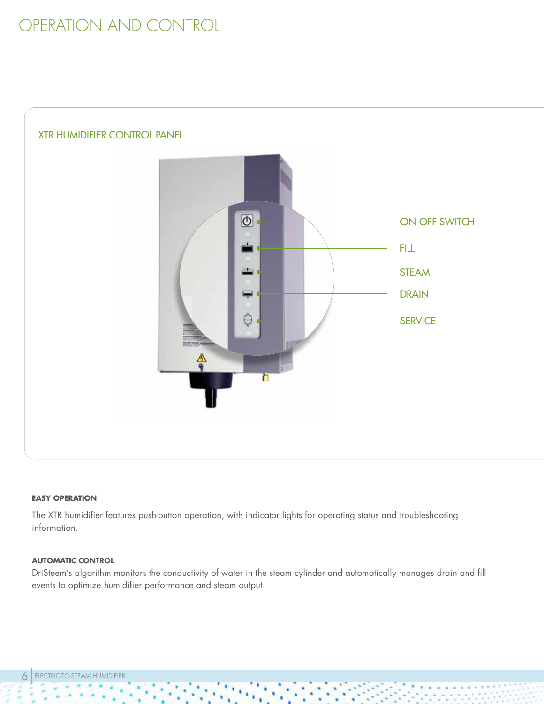### OPERATION AND CONTROL



#### **EASY OPERATION**

The XTR humidifier features push-button operation, with indicator lights for operating status and troubleshooting information.

#### **AUTOMATIC CONTROL**

DriSteem's algorithm monitors the conductivity of water in the steam cylinder and automatically manages drain and fill events to optimize humidifier performance and steam output.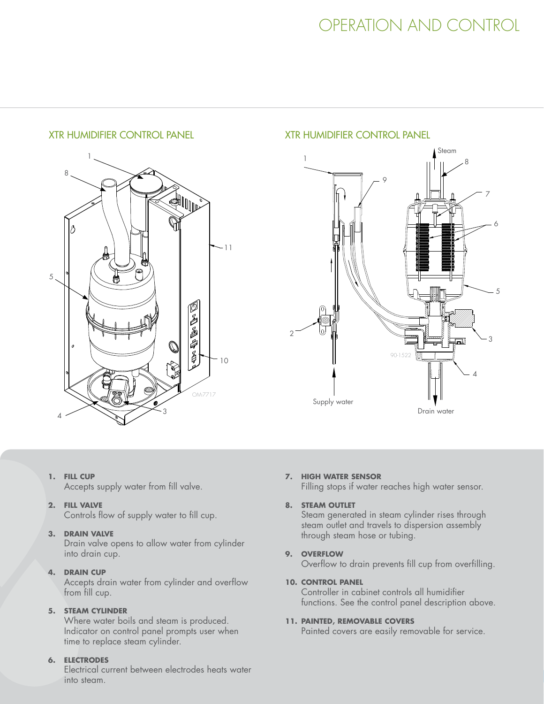#### XTR HUMIDIFIER CONTROL PANEL XTR HUMIDIFIER CONTROL PANEL



#### **1. FILL CUP**

Accepts supply water from fill valve.

**2. FILL VALVE**

Controls flow of supply water to fill cup.

#### **3. DRAIN VALVE**

Drain valve opens to allow water from cylinder into drain cup.

#### **4. DRAIN CUP**

Accepts drain water from cylinder and overflow from fill cup.

#### **5. STEAM CYLINDER**

Where water boils and steam is produced. Indicator on control panel prompts user when time to replace steam cylinder.

#### **6. ELECTRODES**

Electrical current between electrodes heats water into steam.



#### **7. HIGH WATER SENSOR**

Filling stops if water reaches high water sensor.

#### **8. STEAM OUTLET**

Steam generated in steam cylinder rises through steam outlet and travels to dispersion assembly through steam hose or tubing.

#### **9. OVERFLOW**

Overflow to drain prevents fill cup from overfilling.

#### **10. CONTROL PANEL**

Controller in cabinet controls all humidifier functions. See the control panel description above.

#### **11. PAINTED, REMOVABLE COVERS**

Painted covers are easily removable for service.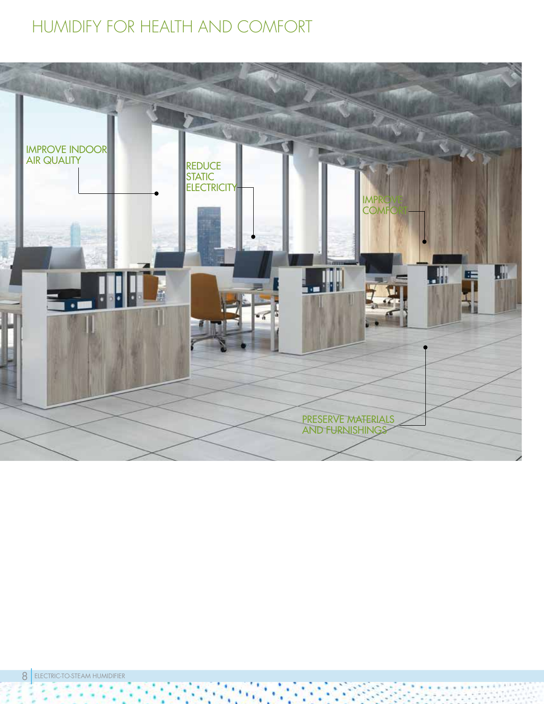### HUMIDIFY FOR HEALTH AND COMFORT

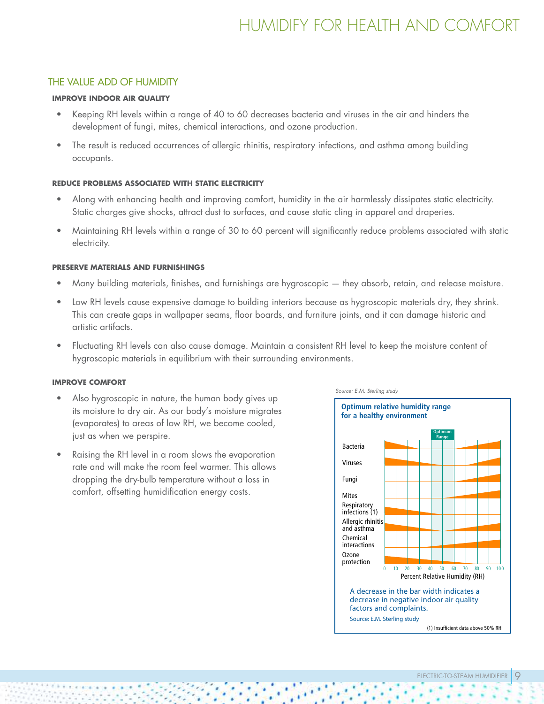### HUMIDIFY FOR HEALTH AND COMFORT

#### THE VALUE ADD OF HUMIDITY

#### **IMPROVE INDOOR AIR QUALITY**

- Keeping RH levels within a range of 40 to 60 decreases bacteria and viruses in the air and hinders the development of fungi, mites, chemical interactions, and ozone production.
- The result is reduced occurrences of allergic rhinitis, respiratory infections, and asthma among building occupants.

#### **REDUCE PROBLEMS ASSOCIATED WITH STATIC ELECTRICITY**

- Along with enhancing health and improving comfort, humidity in the air harmlessly dissipates static electricity. Static charges give shocks, attract dust to surfaces, and cause static cling in apparel and draperies.
- Maintaining RH levels within a range of 30 to 60 percent will significantly reduce problems associated with static electricity.

#### **PRESERVE MATERIALS AND FURNISHINGS**

- Many building materials, finishes, and furnishings are hygroscopic they absorb, retain, and release moisture.
- Low RH levels cause expensive damage to building interiors because as hygroscopic materials dry, they shrink. This can create gaps in wallpaper seams, floor boards, and furniture joints, and it can damage historic and artistic artifacts.
- Fluctuating RH levels can also cause damage. Maintain a consistent RH level to keep the moisture content of hygroscopic materials in equilibrium with their surrounding environments.

#### **IMPROVE COMFORT**

- Also hygroscopic in nature, the human body gives up its moisture to dry air. As our body's moisture migrates (evaporates) to areas of low RH, we become cooled, just as when we perspire.
- Raising the RH level in a room slows the evaporation rate and will make the room feel warmer. This allows dropping the dry-bulb temperature without a loss in comfort, offsetting humidification energy costs.

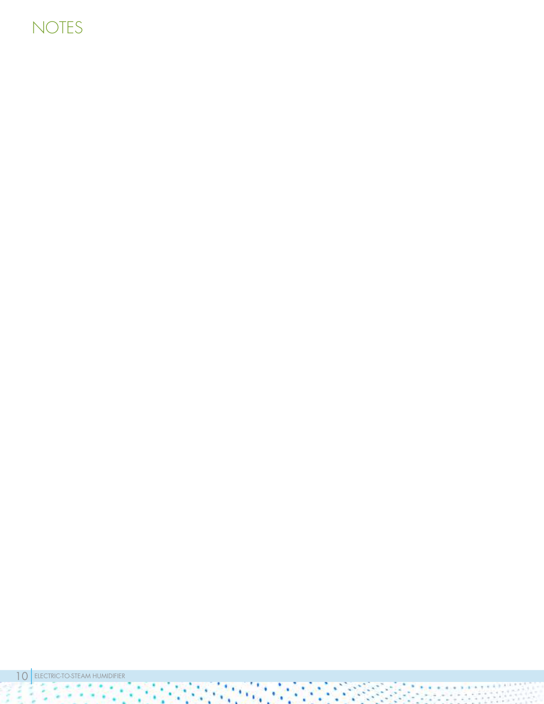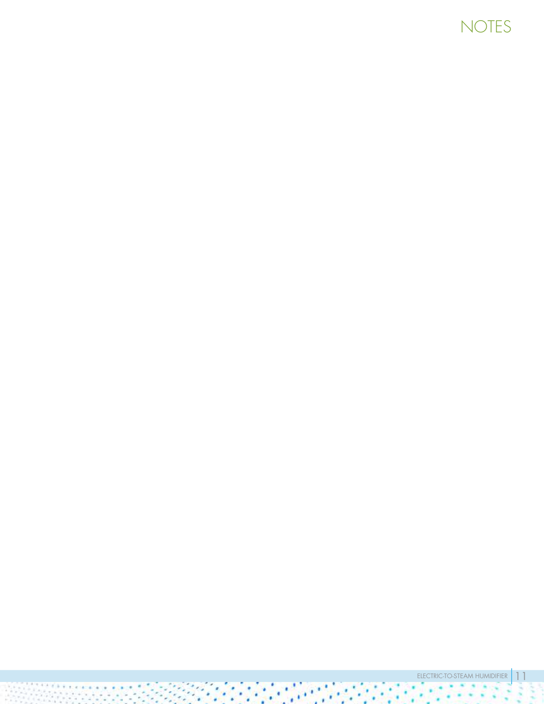## NOTES